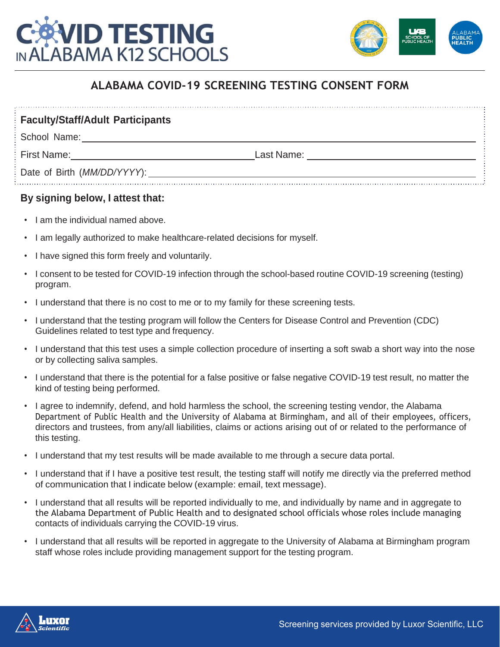



## **ALABAMA COVID-19 SCREENING TESTING CONSENT FORM**

**Faculty/Staff/Adult Participants**

School Name:

First Name: Last Name:

Date of Birth (*MM/DD/YYYY*):

## **By signing below, I attest that:**

- I am the individual named above.
- I am legally authorized to make healthcare-related decisions for myself.
- I have signed this form freely and voluntarily.
- I consent to be tested for COVID-19 infection through the school-based routine COVID-19 screening (testing) program.
- I understand that there is no cost to me or to my family for these screening tests.
- I understand that the testing program will follow the Centers for Disease Control and Prevention (CDC) Guidelines related to test type and frequency.
- I understand that this test uses a simple collection procedure of inserting a soft swab a short way into the nose or by collecting saliva samples.
- I understand that there is the potential for a false positive or false negative COVID-19 test result, no matter the kind of testing being performed.
- I agree to indemnify, defend, and hold harmless the school, the screening testing vendor, the Alabama Department of Public Health and the University of Alabama at Birmingham, and all of their employees, officers, directors and trustees, from any/all liabilities, claims or actions arising out of or related to the performance of this testing.
- I understand that my test results will be made available to me through a secure data portal.
- I understand that if I have a positive test result, the testing staff will notify me directly via the preferred method of communication that I indicate below (example: email, text message).
- I understand that all results will be reported individually to me, and individually by name and in aggregate to the Alabama Department of Public Health and to designated school officials whose roles include managing contacts of individuals carrying the COVID-19 virus.
- I understand that all results will be reported in aggregate to the University of Alabama at Birmingham program staff whose roles include providing management support for the testing program.